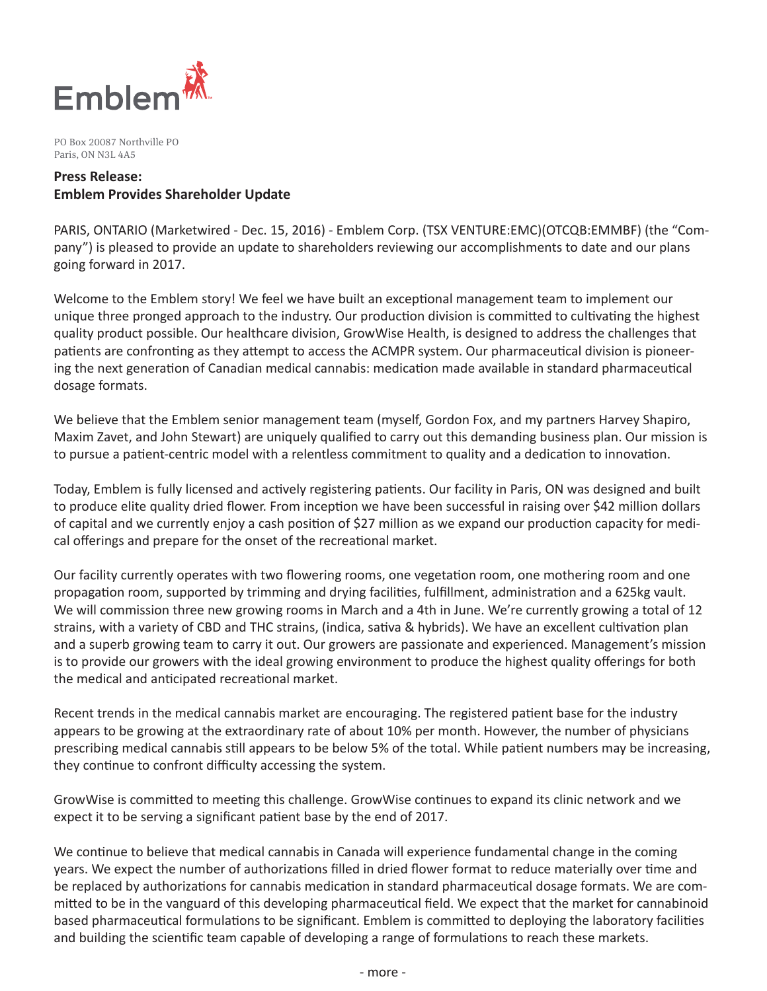

PO Box 20087 Northville PO Paris, ON N3L 4A5

# **Press Release: Emblem Provides Shareholder Update**

PARIS, ONTARIO (Marketwired - Dec. 15, 2016) - Emblem Corp. (TSX VENTURE:EMC)(OTCQB:EMMBF) (the "Company") is pleased to provide an update to shareholders reviewing our accomplishments to date and our plans going forward in 2017.

Welcome to the Emblem story! We feel we have built an exceptional management team to implement our unique three pronged approach to the industry. Our production division is committed to cultivating the highest quality product possible. Our healthcare division, GrowWise Health, is designed to address the challenges that patients are confronting as they attempt to access the ACMPR system. Our pharmaceutical division is pioneering the next generation of Canadian medical cannabis: medication made available in standard pharmaceutical dosage formats.

We believe that the Emblem senior management team (myself, Gordon Fox, and my partners Harvey Shapiro, Maxim Zavet, and John Stewart) are uniquely qualified to carry out this demanding business plan. Our mission is to pursue a patient-centric model with a relentless commitment to quality and a dedication to innovation.

Today, Emblem is fully licensed and actively registering patients. Our facility in Paris, ON was designed and built to produce elite quality dried flower. From inception we have been successful in raising over \$42 million dollars of capital and we currently enjoy a cash position of \$27 million as we expand our production capacity for medical offerings and prepare for the onset of the recreational market.

Our facility currently operates with two flowering rooms, one vegetation room, one mothering room and one propagation room, supported by trimming and drying facilities, fulfillment, administration and a 625kg vault. We will commission three new growing rooms in March and a 4th in June. We're currently growing a total of 12 strains, with a variety of CBD and THC strains, (indica, sativa & hybrids). We have an excellent cultivation plan and a superb growing team to carry it out. Our growers are passionate and experienced. Management's mission is to provide our growers with the ideal growing environment to produce the highest quality offerings for both the medical and anticipated recreational market.

Recent trends in the medical cannabis market are encouraging. The registered patient base for the industry appears to be growing at the extraordinary rate of about 10% per month. However, the number of physicians prescribing medical cannabis still appears to be below 5% of the total. While patient numbers may be increasing, they continue to confront difficulty accessing the system.

GrowWise is committed to meeting this challenge. GrowWise continues to expand its clinic network and we expect it to be serving a significant patient base by the end of 2017.

We continue to believe that medical cannabis in Canada will experience fundamental change in the coming years. We expect the number of authorizations filled in dried flower format to reduce materially over time and be replaced by authorizations for cannabis medication in standard pharmaceutical dosage formats. We are committed to be in the vanguard of this developing pharmaceutical field. We expect that the market for cannabinoid based pharmaceutical formulations to be significant. Emblem is committed to deploying the laboratory facilities and building the scientific team capable of developing a range of formulations to reach these markets.